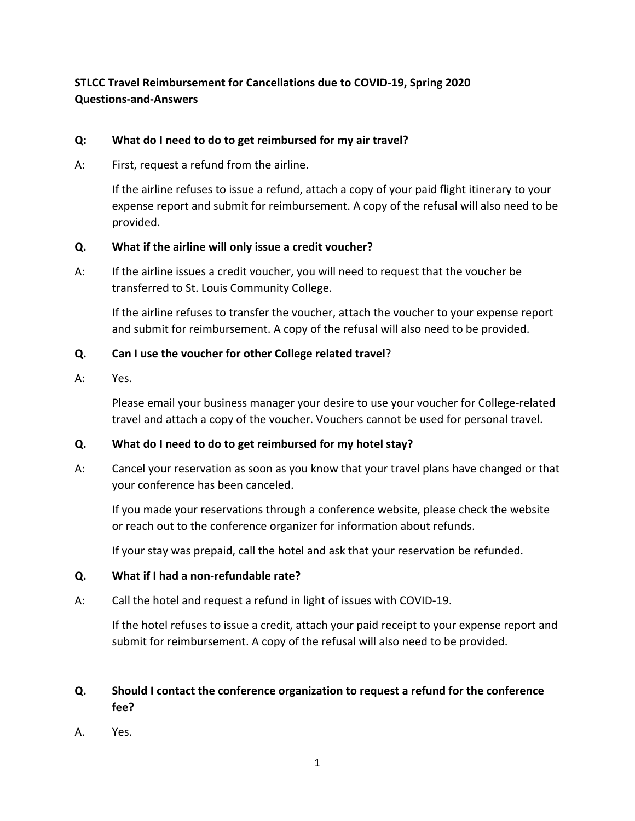# **STLCC Travel Reimbursement for Cancellations due to COVID-19, Spring 2020 Questions-and-Answers**

## **Q: What do I need to do to get reimbursed for my air travel?**

A: First, request a refund from the airline.

If the airline refuses to issue a refund, attach a copy of your paid flight itinerary to your expense report and submit for reimbursement. A copy of the refusal will also need to be provided.

### **Q. What if the airline will only issue a credit voucher?**

A: If the airline issues a credit voucher, you will need to request that the voucher be transferred to St. Louis Community College.

If the airline refuses to transfer the voucher, attach the voucher to your expense report and submit for reimbursement. A copy of the refusal will also need to be provided.

## **Q. Can I use the voucher for other College related travel**?

A: Yes.

Please email your business manager your desire to use your voucher for College-related travel and attach a copy of the voucher. Vouchers cannot be used for personal travel.

## **Q. What do I need to do to get reimbursed for my hotel stay?**

A: Cancel your reservation as soon as you know that your travel plans have changed or that your conference has been canceled.

If you made your reservations through a conference website, please check the website or reach out to the conference organizer for information about refunds.

If your stay was prepaid, call the hotel and ask that your reservation be refunded.

#### **Q. What if I had a non-refundable rate?**

A: Call the hotel and request a refund in light of issues with COVID-19.

If the hotel refuses to issue a credit, attach your paid receipt to your expense report and submit for reimbursement. A copy of the refusal will also need to be provided.

# **Q. Should I contact the conference organization to request a refund for the conference fee?**

A. Yes.